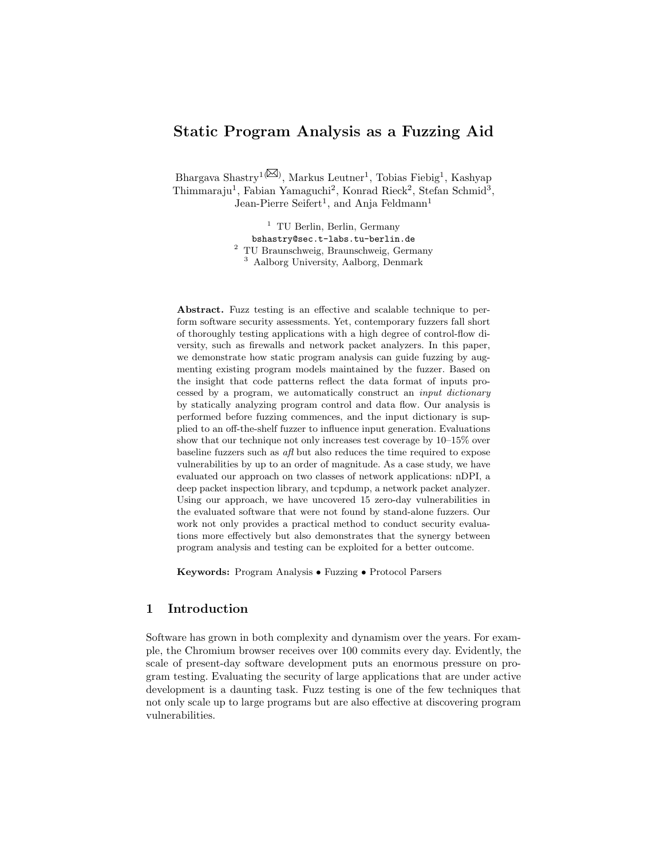# Static Program Analysis as a Fuzzing Aid

Bhargava Shastry<sup>1( $\boxtimes$ )</sup>, Markus Leutner<sup>1</sup>, Tobias Fiebig<sup>1</sup>, Kashyap Thimmaraju<sup>1</sup>, Fabian Yamaguchi<sup>2</sup>, Konrad Rieck<sup>2</sup>, Stefan Schmid<sup>3</sup>, Jean-Pierre Seifert<sup>1</sup>, and Anja Feldmann<sup>1</sup>

> TU Berlin, Berlin, Germany bshastry@sec.t-labs.tu-berlin.de TU Braunschweig, Braunschweig, Germany Aalborg University, Aalborg, Denmark

Abstract. Fuzz testing is an effective and scalable technique to perform software security assessments. Yet, contemporary fuzzers fall short of thoroughly testing applications with a high degree of control-flow diversity, such as firewalls and network packet analyzers. In this paper, we demonstrate how static program analysis can guide fuzzing by augmenting existing program models maintained by the fuzzer. Based on the insight that code patterns reflect the data format of inputs processed by a program, we automatically construct an input dictionary by statically analyzing program control and data flow. Our analysis is performed before fuzzing commences, and the input dictionary is supplied to an off-the-shelf fuzzer to influence input generation. Evaluations show that our technique not only increases test coverage by 10–15% over baseline fuzzers such as afl but also reduces the time required to expose vulnerabilities by up to an order of magnitude. As a case study, we have evaluated our approach on two classes of network applications: nDPI, a deep packet inspection library, and tcpdump, a network packet analyzer. Using our approach, we have uncovered 15 zero-day vulnerabilities in the evaluated software that were not found by stand-alone fuzzers. Our work not only provides a practical method to conduct security evaluations more effectively but also demonstrates that the synergy between program analysis and testing can be exploited for a better outcome.

Keywords: Program Analysis • Fuzzing • Protocol Parsers

# 1 Introduction

Software has grown in both complexity and dynamism over the years. For example, the Chromium browser receives over 100 commits every day. Evidently, the scale of present-day software development puts an enormous pressure on program testing. Evaluating the security of large applications that are under active development is a daunting task. Fuzz testing is one of the few techniques that not only scale up to large programs but are also effective at discovering program vulnerabilities.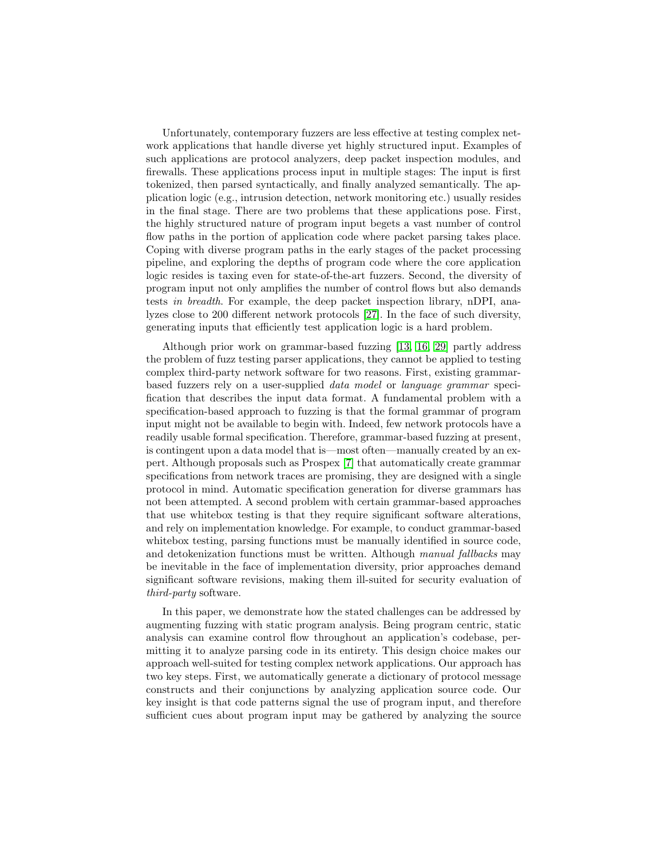Unfortunately, contemporary fuzzers are less effective at testing complex network applications that handle diverse yet highly structured input. Examples of such applications are protocol analyzers, deep packet inspection modules, and firewalls. These applications process input in multiple stages: The input is first tokenized, then parsed syntactically, and finally analyzed semantically. The application logic (e.g., intrusion detection, network monitoring etc.) usually resides in the final stage. There are two problems that these applications pose. First, the highly structured nature of program input begets a vast number of control flow paths in the portion of application code where packet parsing takes place. Coping with diverse program paths in the early stages of the packet processing pipeline, and exploring the depths of program code where the core application logic resides is taxing even for state-of-the-art fuzzers. Second, the diversity of program input not only amplifies the number of control flows but also demands tests in breadth. For example, the deep packet inspection library, nDPI, analyzes close to 200 different network protocols [\[27\]](#page-21-0). In the face of such diversity, generating inputs that efficiently test application logic is a hard problem.

Although prior work on grammar-based fuzzing [\[13,](#page-20-0) [16,](#page-20-1) [29\]](#page-21-1) partly address the problem of fuzz testing parser applications, they cannot be applied to testing complex third-party network software for two reasons. First, existing grammarbased fuzzers rely on a user-supplied data model or language grammar specification that describes the input data format. A fundamental problem with a specification-based approach to fuzzing is that the formal grammar of program input might not be available to begin with. Indeed, few network protocols have a readily usable formal specification. Therefore, grammar-based fuzzing at present, is contingent upon a data model that is—most often—manually created by an expert. Although proposals such as Prospex [\[7\]](#page-20-2) that automatically create grammar specifications from network traces are promising, they are designed with a single protocol in mind. Automatic specification generation for diverse grammars has not been attempted. A second problem with certain grammar-based approaches that use whitebox testing is that they require significant software alterations, and rely on implementation knowledge. For example, to conduct grammar-based whitebox testing, parsing functions must be manually identified in source code, and detokenization functions must be written. Although manual fallbacks may be inevitable in the face of implementation diversity, prior approaches demand significant software revisions, making them ill-suited for security evaluation of third-party software.

In this paper, we demonstrate how the stated challenges can be addressed by augmenting fuzzing with static program analysis. Being program centric, static analysis can examine control flow throughout an application's codebase, permitting it to analyze parsing code in its entirety. This design choice makes our approach well-suited for testing complex network applications. Our approach has two key steps. First, we automatically generate a dictionary of protocol message constructs and their conjunctions by analyzing application source code. Our key insight is that code patterns signal the use of program input, and therefore sufficient cues about program input may be gathered by analyzing the source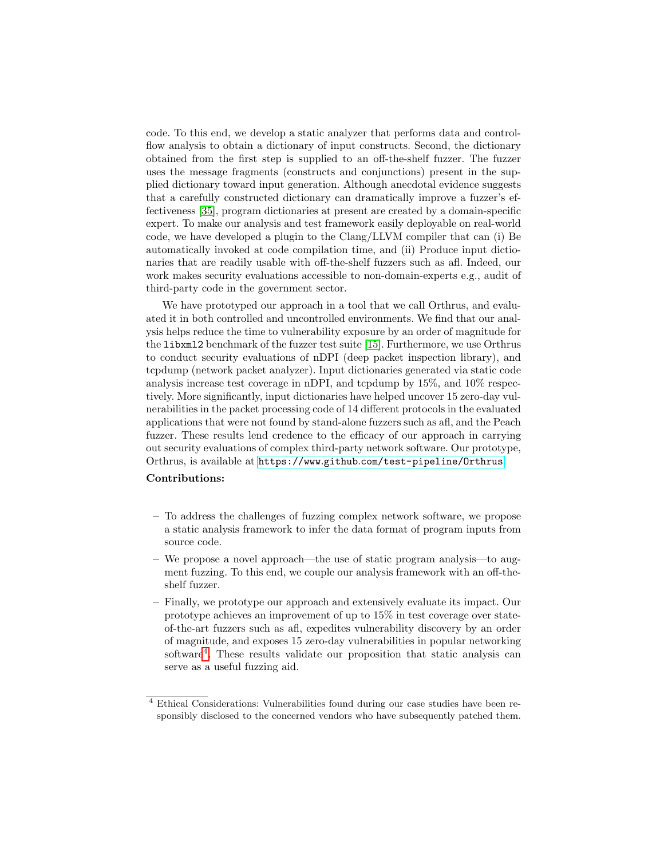code. To this end, we develop a static analyzer that performs data and controlflow analysis to obtain a dictionary of input constructs. Second, the dictionary obtained from the first step is supplied to an off-the-shelf fuzzer. The fuzzer uses the message fragments (constructs and conjunctions) present in the supplied dictionary toward input generation. Although anecdotal evidence suggests that a carefully constructed dictionary can dramatically improve a fuzzer's effectiveness [\[35\]](#page-21-2), program dictionaries at present are created by a domain-specific expert. To make our analysis and test framework easily deployable on real-world code, we have developed a plugin to the Clang/LLVM compiler that can (i) Be automatically invoked at code compilation time, and (ii) Produce input dictionaries that are readily usable with off-the-shelf fuzzers such as afl. Indeed, our work makes security evaluations accessible to non-domain-experts e.g., audit of third-party code in the government sector.

We have prototyped our approach in a tool that we call Orthrus, and evaluated it in both controlled and uncontrolled environments. We find that our analysis helps reduce the time to vulnerability exposure by an order of magnitude for the libxml2 benchmark of the fuzzer test suite [\[15\]](#page-20-3). Furthermore, we use Orthrus to conduct security evaluations of nDPI (deep packet inspection library), and tcpdump (network packet analyzer). Input dictionaries generated via static code analysis increase test coverage in nDPI, and tcpdump by 15%, and 10% respectively. More significantly, input dictionaries have helped uncover 15 zero-day vulnerabilities in the packet processing code of 14 different protocols in the evaluated applications that were not found by stand-alone fuzzers such as afl, and the Peach fuzzer. These results lend credence to the efficacy of our approach in carrying out security evaluations of complex third-party network software. Our prototype, Orthrus, is available at https://www.github.[com/test-pipeline/Orthrus](https://www.github.com/test-pipeline/Orthrus).

### Contributions:

- To address the challenges of fuzzing complex network software, we propose a static analysis framework to infer the data format of program inputs from source code.
- We propose a novel approach—the use of static program analysis—to augment fuzzing. To this end, we couple our analysis framework with an off-theshelf fuzzer.
- Finally, we prototype our approach and extensively evaluate its impact. Our prototype achieves an improvement of up to 15% in test coverage over stateof-the-art fuzzers such as afl, expedites vulnerability discovery by an order of magnitude, and exposes 15 zero-day vulnerabilities in popular networking software<sup>[4](#page-2-0)</sup>. These results validate our proposition that static analysis can serve as a useful fuzzing aid.

<span id="page-2-0"></span><sup>4</sup> Ethical Considerations: Vulnerabilities found during our case studies have been responsibly disclosed to the concerned vendors who have subsequently patched them.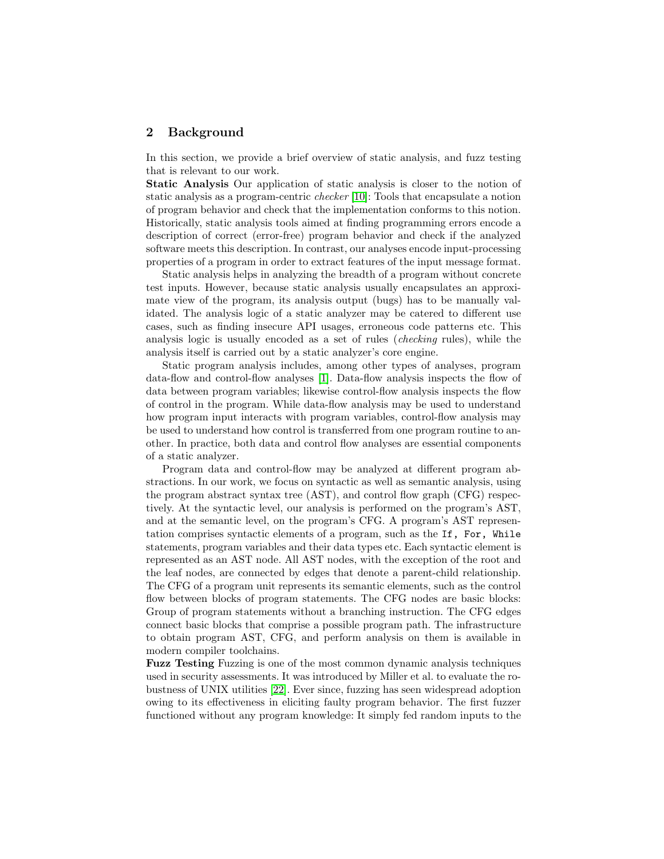# 2 Background

In this section, we provide a brief overview of static analysis, and fuzz testing that is relevant to our work.

Static Analysis Our application of static analysis is closer to the notion of static analysis as a program-centric checker [\[10\]](#page-20-4): Tools that encapsulate a notion of program behavior and check that the implementation conforms to this notion. Historically, static analysis tools aimed at finding programming errors encode a description of correct (error-free) program behavior and check if the analyzed software meets this description. In contrast, our analyses encode input-processing properties of a program in order to extract features of the input message format.

Static analysis helps in analyzing the breadth of a program without concrete test inputs. However, because static analysis usually encapsulates an approximate view of the program, its analysis output (bugs) has to be manually validated. The analysis logic of a static analyzer may be catered to different use cases, such as finding insecure API usages, erroneous code patterns etc. This analysis logic is usually encoded as a set of rules (checking rules), while the analysis itself is carried out by a static analyzer's core engine.

Static program analysis includes, among other types of analyses, program data-flow and control-flow analyses [\[1\]](#page-20-5). Data-flow analysis inspects the flow of data between program variables; likewise control-flow analysis inspects the flow of control in the program. While data-flow analysis may be used to understand how program input interacts with program variables, control-flow analysis may be used to understand how control is transferred from one program routine to another. In practice, both data and control flow analyses are essential components of a static analyzer.

Program data and control-flow may be analyzed at different program abstractions. In our work, we focus on syntactic as well as semantic analysis, using the program abstract syntax tree (AST), and control flow graph (CFG) respectively. At the syntactic level, our analysis is performed on the program's AST, and at the semantic level, on the program's CFG. A program's AST representation comprises syntactic elements of a program, such as the If, For, While statements, program variables and their data types etc. Each syntactic element is represented as an AST node. All AST nodes, with the exception of the root and the leaf nodes, are connected by edges that denote a parent-child relationship. The CFG of a program unit represents its semantic elements, such as the control flow between blocks of program statements. The CFG nodes are basic blocks: Group of program statements without a branching instruction. The CFG edges connect basic blocks that comprise a possible program path. The infrastructure to obtain program AST, CFG, and perform analysis on them is available in modern compiler toolchains.

Fuzz Testing Fuzzing is one of the most common dynamic analysis techniques used in security assessments. It was introduced by Miller et al. to evaluate the robustness of UNIX utilities [\[22\]](#page-21-3). Ever since, fuzzing has seen widespread adoption owing to its effectiveness in eliciting faulty program behavior. The first fuzzer functioned without any program knowledge: It simply fed random inputs to the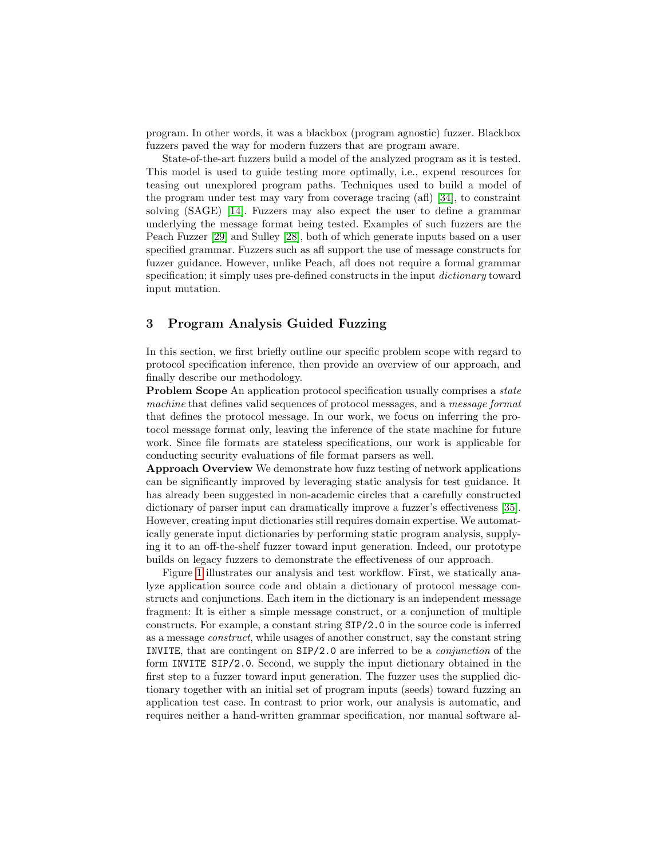program. In other words, it was a blackbox (program agnostic) fuzzer. Blackbox fuzzers paved the way for modern fuzzers that are program aware.

State-of-the-art fuzzers build a model of the analyzed program as it is tested. This model is used to guide testing more optimally, i.e., expend resources for teasing out unexplored program paths. Techniques used to build a model of the program under test may vary from coverage tracing (afl) [\[34\]](#page-21-4), to constraint solving (SAGE) [\[14\]](#page-20-6). Fuzzers may also expect the user to define a grammar underlying the message format being tested. Examples of such fuzzers are the Peach Fuzzer [\[29\]](#page-21-1) and Sulley [\[28\]](#page-21-5), both of which generate inputs based on a user specified grammar. Fuzzers such as afl support the use of message constructs for fuzzer guidance. However, unlike Peach, afl does not require a formal grammar specification; it simply uses pre-defined constructs in the input *dictionary* toward input mutation.

# 3 Program Analysis Guided Fuzzing

In this section, we first briefly outline our specific problem scope with regard to protocol specification inference, then provide an overview of our approach, and finally describe our methodology.

Problem Scope An application protocol specification usually comprises a state machine that defines valid sequences of protocol messages, and a message format that defines the protocol message. In our work, we focus on inferring the protocol message format only, leaving the inference of the state machine for future work. Since file formats are stateless specifications, our work is applicable for conducting security evaluations of file format parsers as well.

Approach Overview We demonstrate how fuzz testing of network applications can be significantly improved by leveraging static analysis for test guidance. It has already been suggested in non-academic circles that a carefully constructed dictionary of parser input can dramatically improve a fuzzer's effectiveness [\[35\]](#page-21-2). However, creating input dictionaries still requires domain expertise. We automatically generate input dictionaries by performing static program analysis, supplying it to an off-the-shelf fuzzer toward input generation. Indeed, our prototype builds on legacy fuzzers to demonstrate the effectiveness of our approach.

Figure [1](#page-5-0) illustrates our analysis and test workflow. First, we statically analyze application source code and obtain a dictionary of protocol message constructs and conjunctions. Each item in the dictionary is an independent message fragment: It is either a simple message construct, or a conjunction of multiple constructs. For example, a constant string SIP/2.0 in the source code is inferred as a message construct, while usages of another construct, say the constant string INVITE, that are contingent on SIP/2.0 are inferred to be a conjunction of the form INVITE SIP/2.0. Second, we supply the input dictionary obtained in the first step to a fuzzer toward input generation. The fuzzer uses the supplied dictionary together with an initial set of program inputs (seeds) toward fuzzing an application test case. In contrast to prior work, our analysis is automatic, and requires neither a hand-written grammar specification, nor manual software al-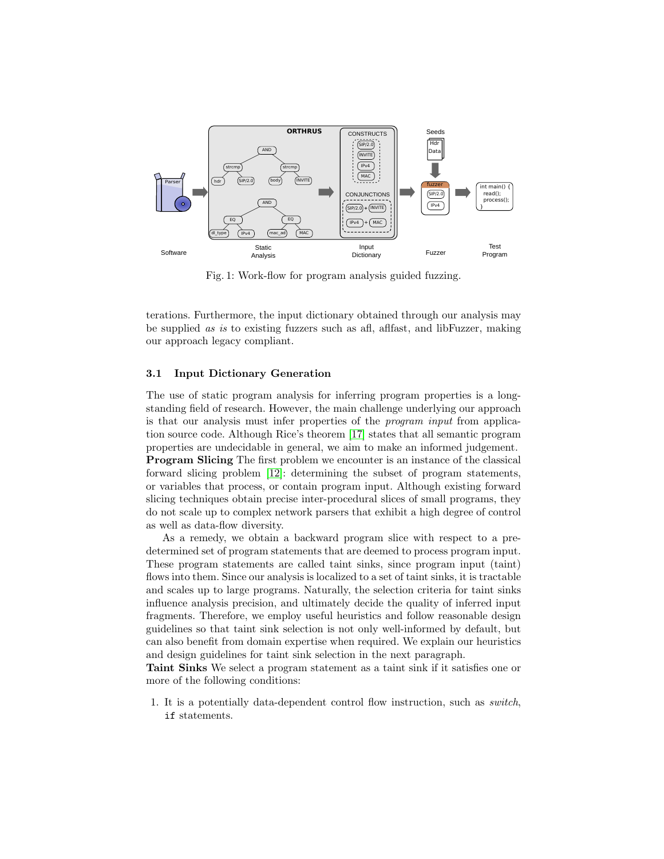<span id="page-5-0"></span>

Fig. 1: Work-flow for program analysis guided fuzzing.

terations. Furthermore, the input dictionary obtained through our analysis may be supplied as is to existing fuzzers such as afl, aflfast, and libFuzzer, making our approach legacy compliant.

#### 3.1 Input Dictionary Generation

The use of static program analysis for inferring program properties is a longstanding field of research. However, the main challenge underlying our approach is that our analysis must infer properties of the program input from application source code. Although Rice's theorem [\[17\]](#page-20-7) states that all semantic program properties are undecidable in general, we aim to make an informed judgement. Program Slicing The first problem we encounter is an instance of the classical forward slicing problem [\[12\]](#page-20-8): determining the subset of program statements, or variables that process, or contain program input. Although existing forward slicing techniques obtain precise inter-procedural slices of small programs, they do not scale up to complex network parsers that exhibit a high degree of control as well as data-flow diversity.

As a remedy, we obtain a backward program slice with respect to a predetermined set of program statements that are deemed to process program input. These program statements are called taint sinks, since program input (taint) flows into them. Since our analysis is localized to a set of taint sinks, it is tractable and scales up to large programs. Naturally, the selection criteria for taint sinks influence analysis precision, and ultimately decide the quality of inferred input fragments. Therefore, we employ useful heuristics and follow reasonable design guidelines so that taint sink selection is not only well-informed by default, but can also benefit from domain expertise when required. We explain our heuristics and design guidelines for taint sink selection in the next paragraph.

Taint Sinks We select a program statement as a taint sink if it satisfies one or more of the following conditions:

1. It is a potentially data-dependent control flow instruction, such as switch, if statements.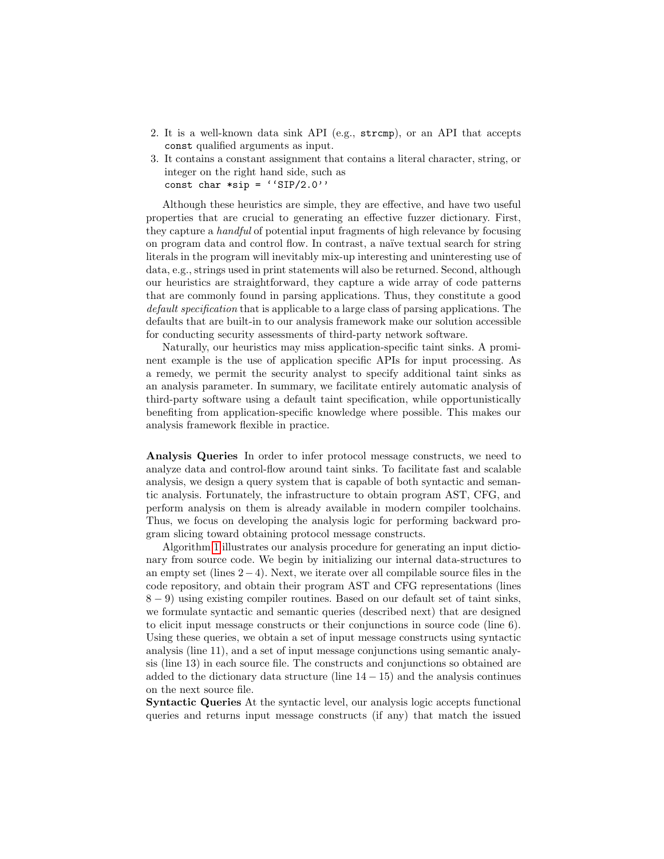- 2. It is a well-known data sink API (e.g., strcmp), or an API that accepts const qualified arguments as input.
- 3. It contains a constant assignment that contains a literal character, string, or integer on the right hand side, such as const char  $*$ sip =  $``SIP/2.0"$

Although these heuristics are simple, they are effective, and have two useful properties that are crucial to generating an effective fuzzer dictionary. First, they capture a handful of potential input fragments of high relevance by focusing on program data and control flow. In contrast, a na¨ıve textual search for string literals in the program will inevitably mix-up interesting and uninteresting use of data, e.g., strings used in print statements will also be returned. Second, although our heuristics are straightforward, they capture a wide array of code patterns that are commonly found in parsing applications. Thus, they constitute a good default specification that is applicable to a large class of parsing applications. The defaults that are built-in to our analysis framework make our solution accessible for conducting security assessments of third-party network software.

Naturally, our heuristics may miss application-specific taint sinks. A prominent example is the use of application specific APIs for input processing. As a remedy, we permit the security analyst to specify additional taint sinks as an analysis parameter. In summary, we facilitate entirely automatic analysis of third-party software using a default taint specification, while opportunistically benefiting from application-specific knowledge where possible. This makes our analysis framework flexible in practice.

Analysis Queries In order to infer protocol message constructs, we need to analyze data and control-flow around taint sinks. To facilitate fast and scalable analysis, we design a query system that is capable of both syntactic and semantic analysis. Fortunately, the infrastructure to obtain program AST, CFG, and perform analysis on them is already available in modern compiler toolchains. Thus, we focus on developing the analysis logic for performing backward program slicing toward obtaining protocol message constructs.

Algorithm [1](#page-7-0) illustrates our analysis procedure for generating an input dictionary from source code. We begin by initializing our internal data-structures to an empty set (lines  $2-4$ ). Next, we iterate over all compilable source files in the code repository, and obtain their program AST and CFG representations (lines 8 − 9) using existing compiler routines. Based on our default set of taint sinks, we formulate syntactic and semantic queries (described next) that are designed to elicit input message constructs or their conjunctions in source code (line 6). Using these queries, we obtain a set of input message constructs using syntactic analysis (line 11), and a set of input message conjunctions using semantic analysis (line 13) in each source file. The constructs and conjunctions so obtained are added to the dictionary data structure (line  $14 - 15$ ) and the analysis continues on the next source file.

Syntactic Queries At the syntactic level, our analysis logic accepts functional queries and returns input message constructs (if any) that match the issued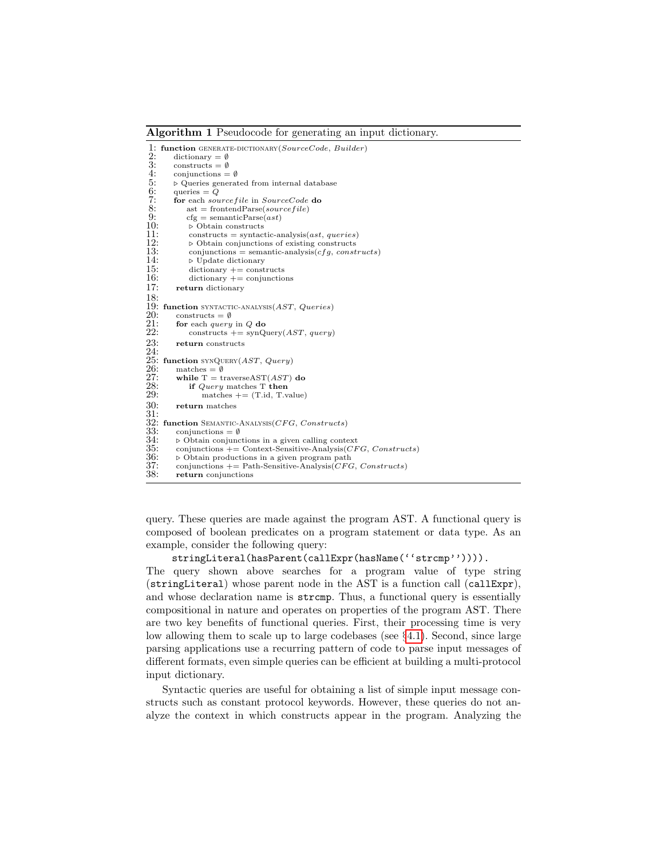<span id="page-7-0"></span>Algorithm 1 Pseudocode for generating an input dictionary.

```
1: function GENERATE-DICTIONARY(SourceCode, Builder)<br>2: dictionary = \emptyset2: dictionary = Ø<br>3: constructs = Ø
 3: constructs = \emptyset<br>4: conjunctions =
 4: conjunctions = \emptyset<br>5: \triangleright Queries generat
 5: \triangleright Queries generated from internal database<br>6: queries = Q<br>7: for each sourcefile in SourceCode do
            queries = \overline{Q}7: for each sourcefile in SourceCode do<br>8: \quad ast = frontendParse(sourcefile)
 8: \text{ast} = \text{frontendParse}(source file)<br>9: \text{cfg} = \text{semanticParse}(ast)9: \text{cfg} = \text{semanticParse}(ast)<br>10: \triangleright Obtain constructs
10: \triangleright Obtain constructs<br>11: \cdot constructs = syntact
11: constructs = syntactic-analysis(ast, queries)<br>12: \triangleright Obtain conjunctions of existing constructs
12: \triangleright Obtain conjunctions of existing constructs 13: conjunctions = semantic-analysis(cfg, const
13: conjunctions = semantic-analysis(cfg, constructs)<br>14: \triangleright Update dictionary
14: \triangleright Update dictionary<br>15: dictionary += const
15: dictionary += constructs<br>16: dictionary += conjunctionary
16: dictionary += conjunctions<br>17: return dictionary
             return dictionary
18:
19: function SYNTACTIC-ANALYSIS(AST, Queries)<br>20: constructs = \emptyset20: constructs = \emptyset<br>21: for each query
21: for each query in Q do<br>22: constructs += synQ:
22: constructs + = synQuery(AST, query)<br>23: return constructs
             return constructs
24:
25: function \text{SYNQUERY}(AST, Query)<br>26: matches = \emptyset26: matches = Ø<br>27: while T = t
27: while T = \text{traverseAST}(AST) \text{ do}<br>
28: if Query matches T then<br>
29: matches += (T.id, T.value)
                   if Query matches T then
29: matches += (T.id, T.value)<br>30: return matches
             {\bf return} matches
 31:<br>32: function Semantic-Analysis(CFG, Constructs)
33: conjunctions = \emptyset<br>34: \triangleright Obtain conjunc
34: \triangleright Obtain conjunctions in a given calling context<br>35: conjunctions += Context-Sensitive-Analysis(CF
35: conjunctions + = Context-Sensitive-Analysis(CFG, Constructs)<br>36: \triangleright Obtain productions in a given program path
36: \triangleright Obtain productions in a given program path 37: conjunctions += Path-Sensitive-Analysis(CFC)
37: conjunctions += Path-Sensitive-Analysis(CFG, Constructs)<br>38: return conjunctions
             return conjunctions
```
query. These queries are made against the program AST. A functional query is composed of boolean predicates on a program statement or data type. As an example, consider the following query:

```
stringLiteral(hasParent(callExpr(hasName(''strcmp'')))).
```
The query shown above searches for a program value of type string (stringLiteral) whose parent node in the AST is a function call (callExpr), and whose declaration name is strcmp. Thus, a functional query is essentially compositional in nature and operates on properties of the program AST. There are two key benefits of functional queries. First, their processing time is very low allowing them to scale up to large codebases (see §[4.1\)](#page-10-0). Second, since large parsing applications use a recurring pattern of code to parse input messages of different formats, even simple queries can be efficient at building a multi-protocol input dictionary.

Syntactic queries are useful for obtaining a list of simple input message constructs such as constant protocol keywords. However, these queries do not analyze the context in which constructs appear in the program. Analyzing the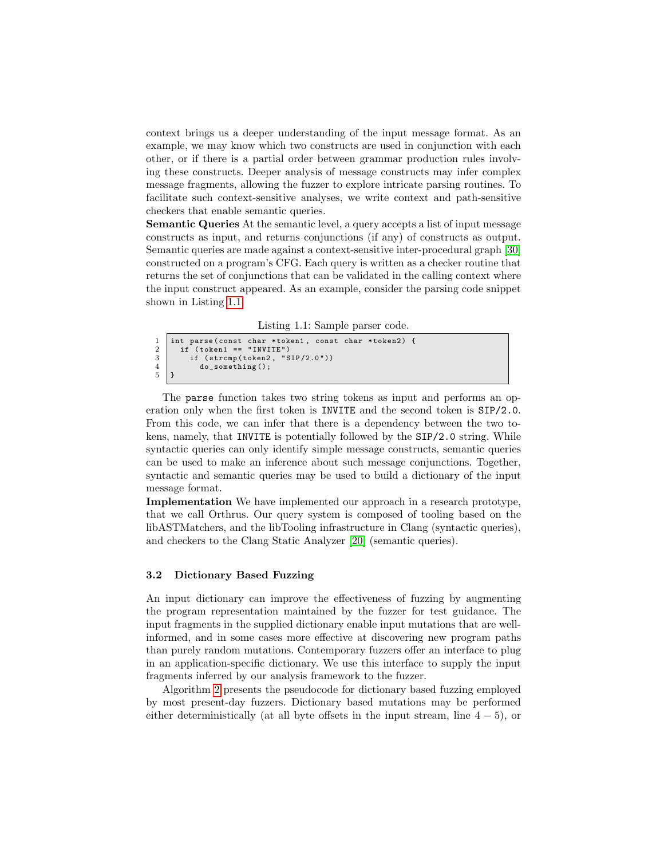context brings us a deeper understanding of the input message format. As an example, we may know which two constructs are used in conjunction with each other, or if there is a partial order between grammar production rules involving these constructs. Deeper analysis of message constructs may infer complex message fragments, allowing the fuzzer to explore intricate parsing routines. To facilitate such context-sensitive analyses, we write context and path-sensitive checkers that enable semantic queries.

Semantic Queries At the semantic level, a query accepts a list of input message constructs as input, and returns conjunctions (if any) of constructs as output. Semantic queries are made against a context-sensitive inter-procedural graph [\[30\]](#page-21-6) constructed on a program's CFG. Each query is written as a checker routine that returns the set of conjunctions that can be validated in the calling context where the input construct appeared. As an example, consider the parsing code snippet shown in Listing [1.1.](#page-8-0)

Listing 1.1: Sample parser code.

<span id="page-8-0"></span>1 int parse (const char \*token1, const char \*token2) {<br>  $2 \quad$  if (token1 == "INVITE")  $\begin{array}{c|c} 2 & \text{if (token1 == "INVITE")} \\ 3 & \text{if (strcmp(token2, "S))} \end{array}$  $\begin{array}{c|c} 3 & \text{if (strcmp}(\text{token2, "SIP/2.0")) \ 4 & \text{do\_something();} \end{array}$  $\begin{array}{c|c} 4 & \text{do\_something} (); \\ 5 & \end{array}$ 5 }

The parse function takes two string tokens as input and performs an operation only when the first token is INVITE and the second token is SIP/2.0. From this code, we can infer that there is a dependency between the two tokens, namely, that INVITE is potentially followed by the SIP/2.0 string. While syntactic queries can only identify simple message constructs, semantic queries can be used to make an inference about such message conjunctions. Together, syntactic and semantic queries may be used to build a dictionary of the input message format.

Implementation We have implemented our approach in a research prototype, that we call Orthrus. Our query system is composed of tooling based on the libASTMatchers, and the libTooling infrastructure in Clang (syntactic queries), and checkers to the Clang Static Analyzer [\[20\]](#page-21-7) (semantic queries).

#### 3.2 Dictionary Based Fuzzing

An input dictionary can improve the effectiveness of fuzzing by augmenting the program representation maintained by the fuzzer for test guidance. The input fragments in the supplied dictionary enable input mutations that are wellinformed, and in some cases more effective at discovering new program paths than purely random mutations. Contemporary fuzzers offer an interface to plug in an application-specific dictionary. We use this interface to supply the input fragments inferred by our analysis framework to the fuzzer.

Algorithm [2](#page-9-0) presents the pseudocode for dictionary based fuzzing employed by most present-day fuzzers. Dictionary based mutations may be performed either deterministically (at all byte offsets in the input stream, line  $4 - 5$ ), or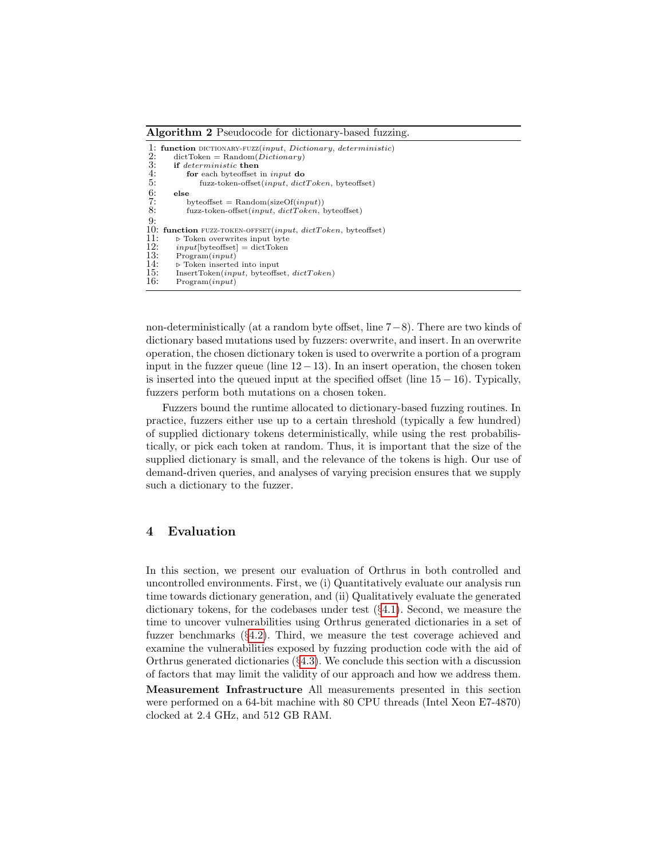<span id="page-9-0"></span>Algorithm 2 Pseudocode for dictionary-based fuzzing.

```
1: function DICTIONARY-FUZZ(input, Dictionary, deterministic)<br>
2 \cdot dictTokon – Bandom(Dictionary)
 2: dictToken = Random(Dictionary)<br>3: if deterministic then
 3: if deterministic then<br>4: for each byteoffset
 4: for each byteoffset in input do<br>5: fuzz-token-offset (input, dict
                      {\tt fuzzy\text{-}token\text{-}offset}({\it input}, {\it dictToken}, {\tt byteoffset})6: else<br>7: k<br>8: f
                byteoffset = Random(sizeOf(input))fuzz-token-off set(input, dictToken, byteoffset)Q10: function FUZZ-TOKEN-OFFSET(input, dictToken, byteoffset)11: \triangleright Token overwrites input byte<br>12: input [byteoffset] = dict Token
12: input[\text{byteoffset}] = \text{dictToken}<br>13: Program(input)
13: Program(nput)<br>14: \triangleright Token inserted
14: \triangleright Token inserted into input<br>15: InsertToken(input byteoffs)
            \small \textbf{InsertToken}(input, \text{ byteoffset}, \textit{dictToken})16: Program(input)
```
non-deterministically (at a random byte offset, line 7−8). There are two kinds of dictionary based mutations used by fuzzers: overwrite, and insert. In an overwrite operation, the chosen dictionary token is used to overwrite a portion of a program input in the fuzzer queue (line  $12 - 13$ ). In an insert operation, the chosen token is inserted into the queued input at the specified offset (line  $15 - 16$ ). Typically, fuzzers perform both mutations on a chosen token.

Fuzzers bound the runtime allocated to dictionary-based fuzzing routines. In practice, fuzzers either use up to a certain threshold (typically a few hundred) of supplied dictionary tokens deterministically, while using the rest probabilistically, or pick each token at random. Thus, it is important that the size of the supplied dictionary is small, and the relevance of the tokens is high. Our use of demand-driven queries, and analyses of varying precision ensures that we supply such a dictionary to the fuzzer.

# 4 Evaluation

In this section, we present our evaluation of Orthrus in both controlled and uncontrolled environments. First, we (i) Quantitatively evaluate our analysis run time towards dictionary generation, and (ii) Qualitatively evaluate the generated dictionary tokens, for the codebases under test  $(\S 4.1)$  $(\S 4.1)$ . Second, we measure the time to uncover vulnerabilities using Orthrus generated dictionaries in a set of fuzzer benchmarks (§[4.2\)](#page-11-0). Third, we measure the test coverage achieved and examine the vulnerabilities exposed by fuzzing production code with the aid of Orthrus generated dictionaries (§[4.3\)](#page-13-0). We conclude this section with a discussion of factors that may limit the validity of our approach and how we address them. Measurement Infrastructure All measurements presented in this section were performed on a 64-bit machine with 80 CPU threads (Intel Xeon E7-4870) clocked at 2.4 GHz, and 512 GB RAM.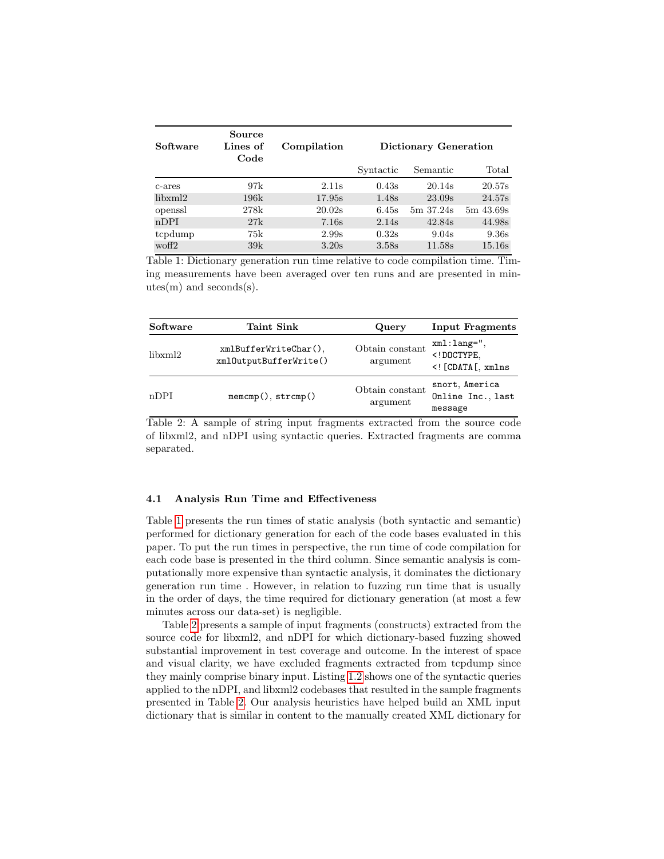<span id="page-10-1"></span>

| Software         | Source<br>Lines of<br>Code | Compilation | <b>Dictionary Generation</b> |                       |             |
|------------------|----------------------------|-------------|------------------------------|-----------------------|-------------|
|                  |                            |             | Syntactic                    | Semantic              | Total       |
| c-ares           | 97k                        | 2.11s       | 0.43s                        | 20.14s                | 20.57s      |
| $\text{libxml2}$ | 196k                       | 17.95s      | 1.48s                        | 23.09s                | 24.57s      |
| openssl          | 278k                       | 20.02s      | 6.45s                        | $5m \frac{37.24s}{ }$ | $5m$ 43.69s |
| $n$ DPI          | 27k                        | 7.16s       | 2.14s                        | 42.84s                | 44.98s      |
| tcpdump          | 75k                        | 2.99s       | 0.32s                        | 9.04s                 | 9.36s       |
| wof 2            | 39k                        | 3.20s       | 3.58s                        | 11.58s                | 15.16s      |

Table 1: Dictionary generation run time relative to code compilation time. Timing measurements have been averaged over ten runs and are presented in minutes $(m)$  and seconds $(s)$ .

<span id="page-10-2"></span>

| Software | Taint Sink                                      | Query                       | Input Fragments                                   |
|----------|-------------------------------------------------|-----------------------------|---------------------------------------------------|
| libxml2  | xmlBufferWriteChar(),<br>xml0utputBufferWrite() | Obtain constant<br>argument | $xml:lang="$ ,<br>DOCTYPE,<br [CDATA [, xmlns</td |
| $n$ DPI  | memcmp(), strcmp()                              | Obtain constant<br>argument | snort, America<br>Online Inc., last<br>message    |

Table 2: A sample of string input fragments extracted from the source code of libxml2, and nDPI using syntactic queries. Extracted fragments are comma separated.

## <span id="page-10-0"></span>4.1 Analysis Run Time and Effectiveness

Table [1](#page-10-1) presents the run times of static analysis (both syntactic and semantic) performed for dictionary generation for each of the code bases evaluated in this paper. To put the run times in perspective, the run time of code compilation for each code base is presented in the third column. Since semantic analysis is computationally more expensive than syntactic analysis, it dominates the dictionary generation run time . However, in relation to fuzzing run time that is usually in the order of days, the time required for dictionary generation (at most a few minutes across our data-set) is negligible.

Table [2](#page-10-2) presents a sample of input fragments (constructs) extracted from the source code for libxml2, and nDPI for which dictionary-based fuzzing showed substantial improvement in test coverage and outcome. In the interest of space and visual clarity, we have excluded fragments extracted from tcpdump since they mainly comprise binary input. Listing [1.2](#page-11-1) shows one of the syntactic queries applied to the nDPI, and libxml2 codebases that resulted in the sample fragments presented in Table [2.](#page-10-2) Our analysis heuristics have helped build an XML input dictionary that is similar in content to the manually created XML dictionary for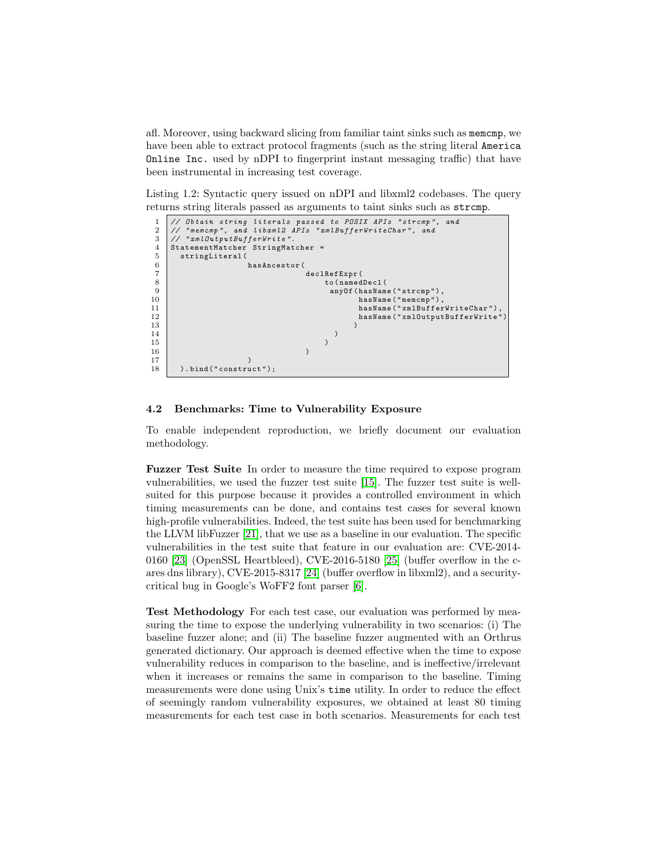afl. Moreover, using backward slicing from familiar taint sinks such as memcmp, we have been able to extract protocol fragments (such as the string literal America Online Inc. used by nDPI to fingerprint instant messaging traffic) that have been instrumental in increasing test coverage.

<span id="page-11-1"></span>Listing 1.2: Syntactic query issued on nDPI and libxml2 codebases. The query returns string literals passed as arguments to taint sinks such as strcmp.

1 // Obtain string literals passed to POSIX APIs "strcmp", and<br>2 // "memcmp", and libxml2 APIs "xmlBufferWriteChar", and // "memcmp", and libxml2 APIs "xmlBufferWriteChar", and  $\begin{array}{c|c} 3 & // & xmlOutputBufferWrite". \end{array}$ <br>4 StatementMatcher StringMat 4 StatementMatcher StringMatcher = stringLiteral (  $\begin{array}{c|c}\n6 & \text{hasAncestor} \\
\hline\n7 & \text{hasAncestor}\n\end{array}$ declRefExpr(  $8 \nvert \nvert$  to (namedDecl ( $9 \nvert \nvert$  any 0f (has Nam 9 anyOf (hasName ("strcmp"),<br>
hasName ("memcmp"),<br>
hasName ("memcmp"), 10 hasName (" memcmp"), hasName (" memcmp"), hasName (" memcmp"), hasName (" memcmp"), hasName (" xml Ruffer 11 hasName ("xmlBufferWriteChar")<br>
hasName ("xmlBufferWriteChar")<br>
hasName ("xmlOutputBufferWrite 12 hasName ("xmlOutputBufferWrite")<br>13 hasName ("xmlOutputBufferWrite")  $\boxed{13}$  )  $\boxed{14}$  )  $\boxed{15}$  )  $\boxed{16}$  ) 17 )  $18$  ). bind ("construct");

### <span id="page-11-0"></span>4.2 Benchmarks: Time to Vulnerability Exposure

To enable independent reproduction, we briefly document our evaluation methodology.

Fuzzer Test Suite In order to measure the time required to expose program vulnerabilities, we used the fuzzer test suite [\[15\]](#page-20-3). The fuzzer test suite is wellsuited for this purpose because it provides a controlled environment in which timing measurements can be done, and contains test cases for several known high-profile vulnerabilities. Indeed, the test suite has been used for benchmarking the LLVM libFuzzer [\[21\]](#page-21-8), that we use as a baseline in our evaluation. The specific vulnerabilities in the test suite that feature in our evaluation are: CVE-2014- 0160 [\[23\]](#page-21-9) (OpenSSL Heartbleed), CVE-2016-5180 [\[25\]](#page-21-10) (buffer overflow in the cares dns library), CVE-2015-8317 [\[24\]](#page-21-11) (buffer overflow in libxml2), and a securitycritical bug in Google's WoFF2 font parser [\[6\]](#page-20-9).

Test Methodology For each test case, our evaluation was performed by measuring the time to expose the underlying vulnerability in two scenarios: (i) The baseline fuzzer alone; and (ii) The baseline fuzzer augmented with an Orthrus generated dictionary. Our approach is deemed effective when the time to expose vulnerability reduces in comparison to the baseline, and is ineffective/irrelevant when it increases or remains the same in comparison to the baseline. Timing measurements were done using Unix's time utility. In order to reduce the effect of seemingly random vulnerability exposures, we obtained at least 80 timing measurements for each test case in both scenarios. Measurements for each test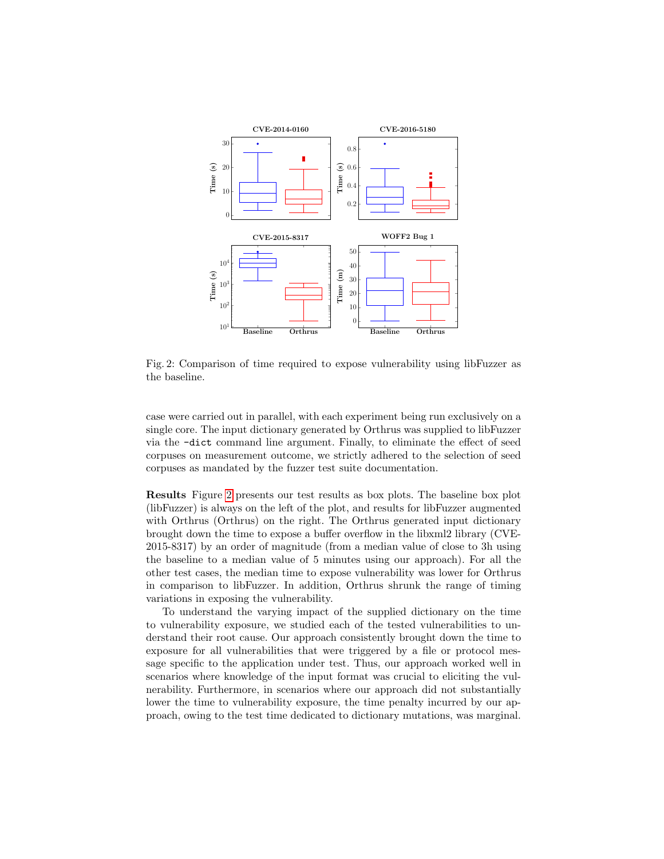<span id="page-12-0"></span>

Fig. 2: Comparison of time required to expose vulnerability using libFuzzer as the baseline.

case were carried out in parallel, with each experiment being run exclusively on a single core. The input dictionary generated by Orthrus was supplied to libFuzzer via the -dict command line argument. Finally, to eliminate the effect of seed corpuses on measurement outcome, we strictly adhered to the selection of seed corpuses as mandated by the fuzzer test suite documentation.

Results Figure [2](#page-12-0) presents our test results as box plots. The baseline box plot (libFuzzer) is always on the left of the plot, and results for libFuzzer augmented with Orthrus (Orthrus) on the right. The Orthrus generated input dictionary brought down the time to expose a buffer overflow in the libxml2 library (CVE-2015-8317) by an order of magnitude (from a median value of close to 3h using the baseline to a median value of 5 minutes using our approach). For all the other test cases, the median time to expose vulnerability was lower for Orthrus in comparison to libFuzzer. In addition, Orthrus shrunk the range of timing variations in exposing the vulnerability.

To understand the varying impact of the supplied dictionary on the time to vulnerability exposure, we studied each of the tested vulnerabilities to understand their root cause. Our approach consistently brought down the time to exposure for all vulnerabilities that were triggered by a file or protocol message specific to the application under test. Thus, our approach worked well in scenarios where knowledge of the input format was crucial to eliciting the vulnerability. Furthermore, in scenarios where our approach did not substantially lower the time to vulnerability exposure, the time penalty incurred by our approach, owing to the test time dedicated to dictionary mutations, was marginal.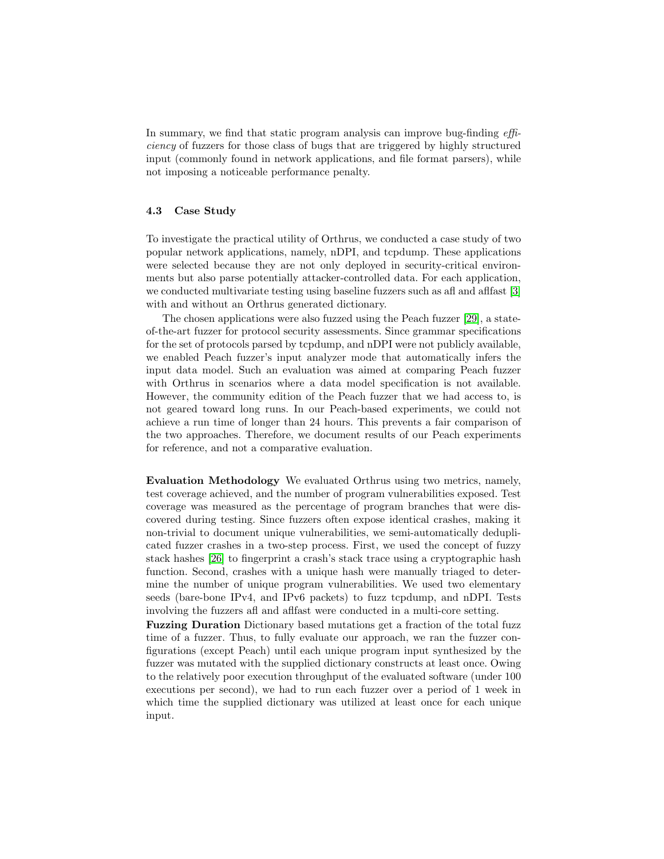In summary, we find that static program analysis can improve bug-finding *effi*ciency of fuzzers for those class of bugs that are triggered by highly structured input (commonly found in network applications, and file format parsers), while not imposing a noticeable performance penalty.

#### <span id="page-13-0"></span>4.3 Case Study

To investigate the practical utility of Orthrus, we conducted a case study of two popular network applications, namely, nDPI, and tcpdump. These applications were selected because they are not only deployed in security-critical environments but also parse potentially attacker-controlled data. For each application, we conducted multivariate testing using baseline fuzzers such as afl and aflfast [\[3\]](#page-20-10) with and without an Orthrus generated dictionary.

The chosen applications were also fuzzed using the Peach fuzzer [\[29\]](#page-21-1), a stateof-the-art fuzzer for protocol security assessments. Since grammar specifications for the set of protocols parsed by tcpdump, and nDPI were not publicly available, we enabled Peach fuzzer's input analyzer mode that automatically infers the input data model. Such an evaluation was aimed at comparing Peach fuzzer with Orthrus in scenarios where a data model specification is not available. However, the community edition of the Peach fuzzer that we had access to, is not geared toward long runs. In our Peach-based experiments, we could not achieve a run time of longer than 24 hours. This prevents a fair comparison of the two approaches. Therefore, we document results of our Peach experiments for reference, and not a comparative evaluation.

Evaluation Methodology We evaluated Orthrus using two metrics, namely, test coverage achieved, and the number of program vulnerabilities exposed. Test coverage was measured as the percentage of program branches that were discovered during testing. Since fuzzers often expose identical crashes, making it non-trivial to document unique vulnerabilities, we semi-automatically deduplicated fuzzer crashes in a two-step process. First, we used the concept of fuzzy stack hashes [\[26\]](#page-21-12) to fingerprint a crash's stack trace using a cryptographic hash function. Second, crashes with a unique hash were manually triaged to determine the number of unique program vulnerabilities. We used two elementary seeds (bare-bone IPv4, and IPv6 packets) to fuzz tcpdump, and nDPI. Tests involving the fuzzers afl and aflfast were conducted in a multi-core setting.

Fuzzing Duration Dictionary based mutations get a fraction of the total fuzz time of a fuzzer. Thus, to fully evaluate our approach, we ran the fuzzer configurations (except Peach) until each unique program input synthesized by the fuzzer was mutated with the supplied dictionary constructs at least once. Owing to the relatively poor execution throughput of the evaluated software (under 100 executions per second), we had to run each fuzzer over a period of 1 week in which time the supplied dictionary was utilized at least once for each unique input.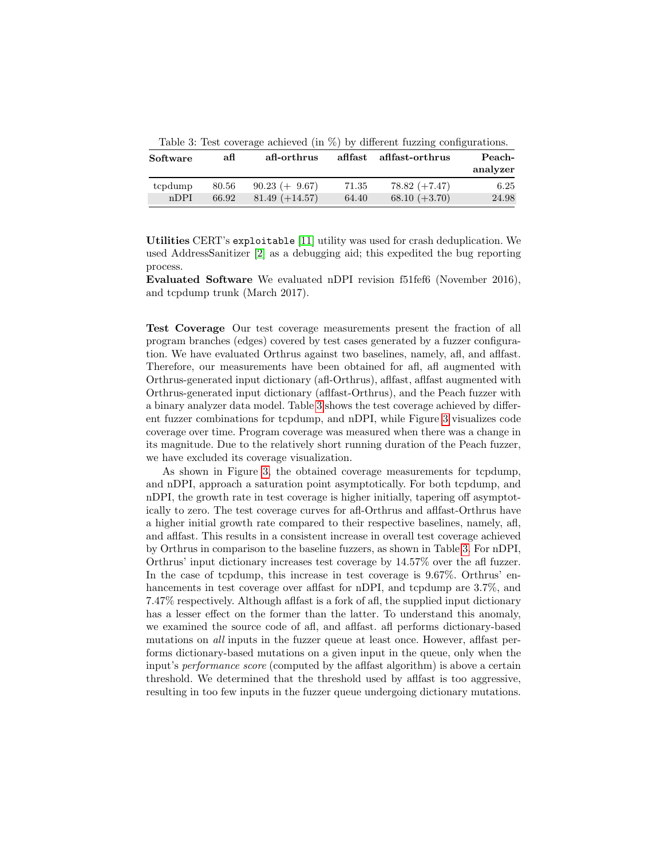| Software | afl   | afl-orthrus      |       | aflfast aflfast-orthrus | Peach-<br>analyzer |
|----------|-------|------------------|-------|-------------------------|--------------------|
| tcpdump  | 80.56 | $90.23 (+ 9.67)$ | 71.35 | $78.82 (+7.47)$         | 6.25               |
| nDPI     | 66.92 | $81.49 (+14.57)$ | 64.40 | $68.10 (+3.70)$         | 24.98              |

<span id="page-14-0"></span>Table 3: Test coverage achieved (in %) by different fuzzing configurations.

Utilities CERT's exploitable [\[11\]](#page-20-11) utility was used for crash deduplication. We used AddressSanitizer [\[2\]](#page-20-12) as a debugging aid; this expedited the bug reporting process.

Evaluated Software We evaluated nDPI revision f51fef6 (November 2016), and tcpdump trunk (March 2017).

Test Coverage Our test coverage measurements present the fraction of all program branches (edges) covered by test cases generated by a fuzzer configuration. We have evaluated Orthrus against two baselines, namely, afl, and aflfast. Therefore, our measurements have been obtained for afl, afl augmented with Orthrus-generated input dictionary (afl-Orthrus), aflfast, aflfast augmented with Orthrus-generated input dictionary (aflfast-Orthrus), and the Peach fuzzer with a binary analyzer data model. Table [3](#page-14-0) shows the test coverage achieved by different fuzzer combinations for tcpdump, and nDPI, while Figure [3](#page-15-0) visualizes code coverage over time. Program coverage was measured when there was a change in its magnitude. Due to the relatively short running duration of the Peach fuzzer, we have excluded its coverage visualization.

As shown in Figure [3,](#page-15-0) the obtained coverage measurements for tcpdump, and nDPI, approach a saturation point asymptotically. For both tcpdump, and nDPI, the growth rate in test coverage is higher initially, tapering off asymptotically to zero. The test coverage curves for afl-Orthrus and aflfast-Orthrus have a higher initial growth rate compared to their respective baselines, namely, afl, and aflfast. This results in a consistent increase in overall test coverage achieved by Orthrus in comparison to the baseline fuzzers, as shown in Table [3.](#page-14-0) For nDPI, Orthrus' input dictionary increases test coverage by 14.57% over the afl fuzzer. In the case of tcpdump, this increase in test coverage is 9.67%. Orthrus' enhancements in test coverage over afflast for nDPI, and tcpdump are 3.7%, and 7.47% respectively. Although aflfast is a fork of afl, the supplied input dictionary has a lesser effect on the former than the latter. To understand this anomaly, we examined the source code of afl, and aflfast. afl performs dictionary-based mutations on all inputs in the fuzzer queue at least once. However, aflfast performs dictionary-based mutations on a given input in the queue, only when the input's performance score (computed by the aflfast algorithm) is above a certain threshold. We determined that the threshold used by aflfast is too aggressive, resulting in too few inputs in the fuzzer queue undergoing dictionary mutations.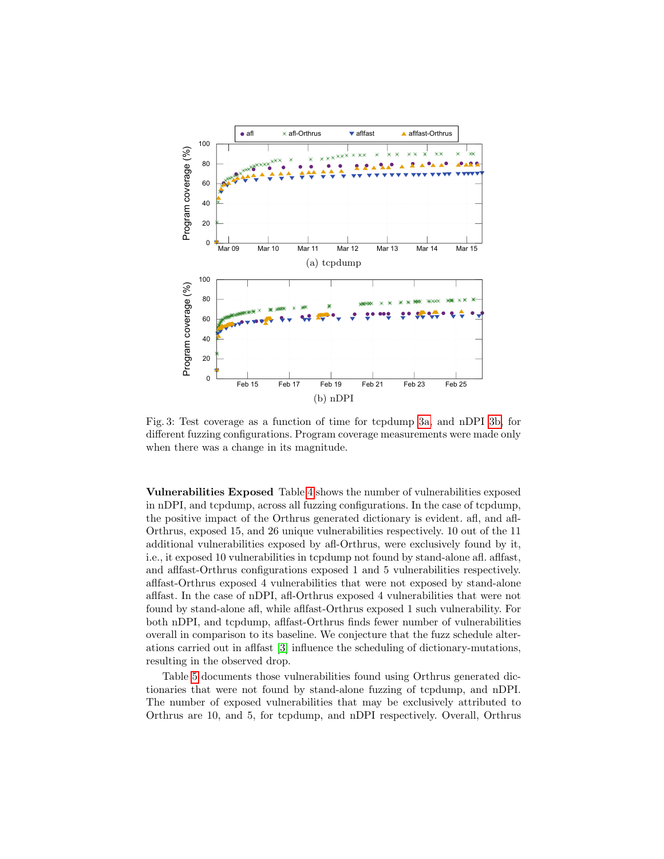<span id="page-15-0"></span>

Fig. 3: Test coverage as a function of time for tcpdump [3a,](#page-15-0) and nDPI [3b,](#page-15-0) for different fuzzing configurations. Program coverage measurements were made only when there was a change in its magnitude.

Vulnerabilities Exposed Table [4](#page-16-0) shows the number of vulnerabilities exposed in nDPI, and tcpdump, across all fuzzing configurations. In the case of tcpdump, the positive impact of the Orthrus generated dictionary is evident. afl, and afl-Orthrus, exposed 15, and 26 unique vulnerabilities respectively. 10 out of the 11 additional vulnerabilities exposed by afl-Orthrus, were exclusively found by it, i.e., it exposed 10 vulnerabilities in tcpdump not found by stand-alone afl. aflfast, and aflfast-Orthrus configurations exposed 1 and 5 vulnerabilities respectively. aflfast-Orthrus exposed 4 vulnerabilities that were not exposed by stand-alone aflfast. In the case of nDPI, afl-Orthrus exposed 4 vulnerabilities that were not found by stand-alone afl, while aflfast-Orthrus exposed 1 such vulnerability. For both nDPI, and tcpdump, aflfast-Orthrus finds fewer number of vulnerabilities overall in comparison to its baseline. We conjecture that the fuzz schedule alterations carried out in aflfast [\[3\]](#page-20-10) influence the scheduling of dictionary-mutations, resulting in the observed drop.

Table [5](#page-16-1) documents those vulnerabilities found using Orthrus generated dictionaries that were not found by stand-alone fuzzing of tcpdump, and nDPI. The number of exposed vulnerabilities that may be exclusively attributed to Orthrus are 10, and 5, for tcpdump, and nDPI respectively. Overall, Orthrus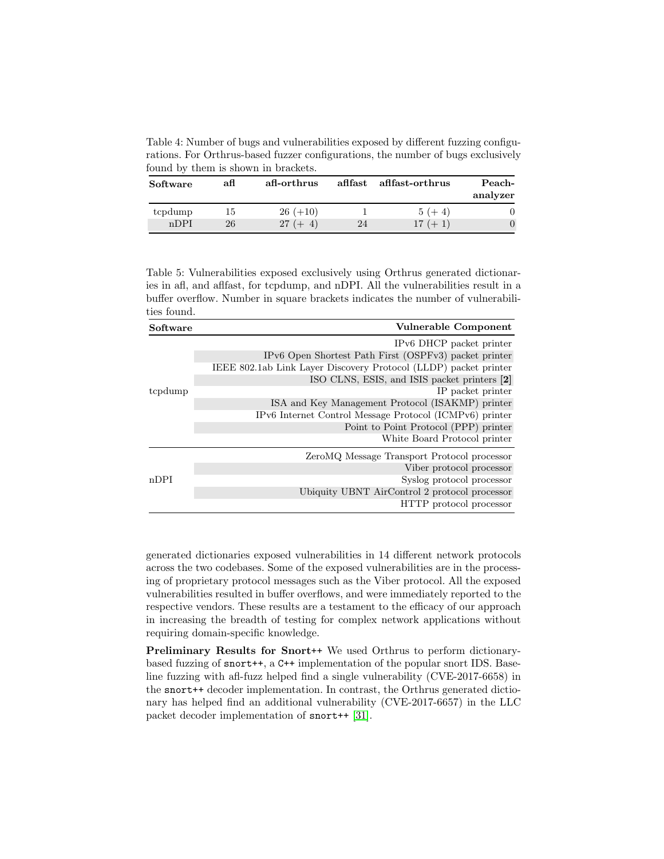<span id="page-16-0"></span>Table 4: Number of bugs and vulnerabilities exposed by different fuzzing configurations. For Orthrus-based fuzzer configurations, the number of bugs exclusively found by them is shown in brackets.

| Software | afl | afl-orthrus | aflfast | aflfast-orthrus | Peach-<br>analyzer |
|----------|-----|-------------|---------|-----------------|--------------------|
| tcpdump  | 15  | $26 (+10)$  |         | $5(+4)$         |                    |
| nDPI     | 26  | $27 (+ 4)$  | 24      | $17 (+ 1)$      | 0                  |

<span id="page-16-1"></span>Table 5: Vulnerabilities exposed exclusively using Orthrus generated dictionaries in afl, and aflfast, for tcpdump, and nDPI. All the vulnerabilities result in a buffer overflow. Number in square brackets indicates the number of vulnerabilities found.

| Software | Vulnerable Component                                             |
|----------|------------------------------------------------------------------|
| tcpdump  | IPv6 DHCP packet printer                                         |
|          | IPv6 Open Shortest Path First (OSPFv3) packet printer            |
|          | IEEE 802.1ab Link Layer Discovery Protocol (LLDP) packet printer |
|          | ISO CLNS, ESIS, and ISIS packet printers [2]                     |
|          | IP packet printer                                                |
|          | ISA and Key Management Protocol (ISAKMP) printer                 |
|          | IPv6 Internet Control Message Protocol (ICMPv6) printer          |
|          | Point to Point Protocol (PPP) printer                            |
|          | White Board Protocol printer                                     |
| $n$ DPI  | ZeroMQ Message Transport Protocol processor                      |
|          | Viber protocol processor                                         |
|          | Syslog protocol processor                                        |
|          | Ubiquity UBNT AirControl 2 protocol processor                    |
|          | HTTP protocol processor                                          |

generated dictionaries exposed vulnerabilities in 14 different network protocols across the two codebases. Some of the exposed vulnerabilities are in the processing of proprietary protocol messages such as the Viber protocol. All the exposed vulnerabilities resulted in buffer overflows, and were immediately reported to the respective vendors. These results are a testament to the efficacy of our approach in increasing the breadth of testing for complex network applications without requiring domain-specific knowledge.

Preliminary Results for Snort++ We used Orthrus to perform dictionarybased fuzzing of snort++, a C++ implementation of the popular snort IDS. Baseline fuzzing with afl-fuzz helped find a single vulnerability (CVE-2017-6658) in the snort++ decoder implementation. In contrast, the Orthrus generated dictionary has helped find an additional vulnerability (CVE-2017-6657) in the LLC packet decoder implementation of snort++ [\[31\]](#page-21-13).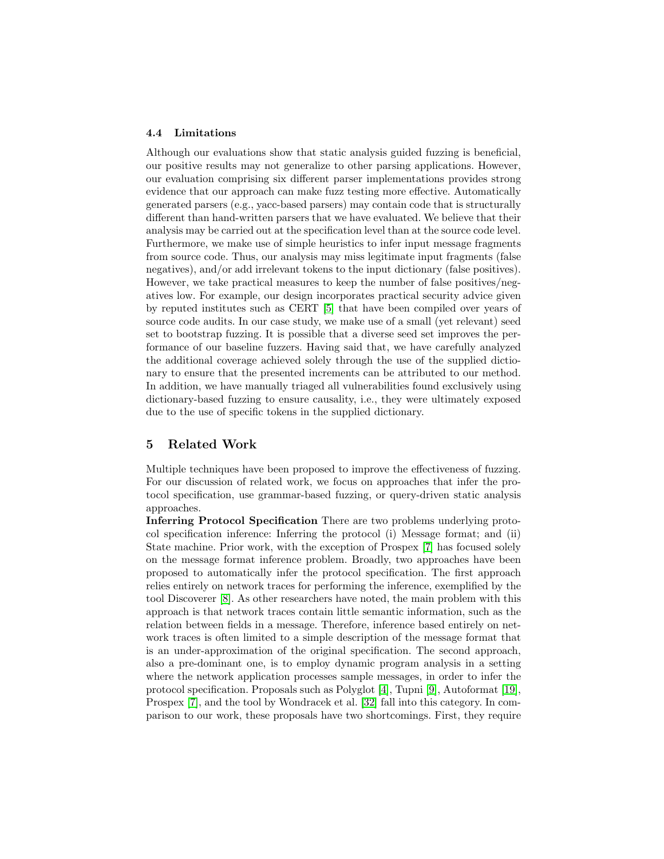#### 4.4 Limitations

Although our evaluations show that static analysis guided fuzzing is beneficial, our positive results may not generalize to other parsing applications. However, our evaluation comprising six different parser implementations provides strong evidence that our approach can make fuzz testing more effective. Automatically generated parsers (e.g., yacc-based parsers) may contain code that is structurally different than hand-written parsers that we have evaluated. We believe that their analysis may be carried out at the specification level than at the source code level. Furthermore, we make use of simple heuristics to infer input message fragments from source code. Thus, our analysis may miss legitimate input fragments (false negatives), and/or add irrelevant tokens to the input dictionary (false positives). However, we take practical measures to keep the number of false positives/negatives low. For example, our design incorporates practical security advice given by reputed institutes such as CERT [\[5\]](#page-20-13) that have been compiled over years of source code audits. In our case study, we make use of a small (yet relevant) seed set to bootstrap fuzzing. It is possible that a diverse seed set improves the performance of our baseline fuzzers. Having said that, we have carefully analyzed the additional coverage achieved solely through the use of the supplied dictionary to ensure that the presented increments can be attributed to our method. In addition, we have manually triaged all vulnerabilities found exclusively using dictionary-based fuzzing to ensure causality, i.e., they were ultimately exposed due to the use of specific tokens in the supplied dictionary.

# 5 Related Work

Multiple techniques have been proposed to improve the effectiveness of fuzzing. For our discussion of related work, we focus on approaches that infer the protocol specification, use grammar-based fuzzing, or query-driven static analysis approaches.

Inferring Protocol Specification There are two problems underlying protocol specification inference: Inferring the protocol (i) Message format; and (ii) State machine. Prior work, with the exception of Prospex [\[7\]](#page-20-2) has focused solely on the message format inference problem. Broadly, two approaches have been proposed to automatically infer the protocol specification. The first approach relies entirely on network traces for performing the inference, exemplified by the tool Discoverer [\[8\]](#page-20-14). As other researchers have noted, the main problem with this approach is that network traces contain little semantic information, such as the relation between fields in a message. Therefore, inference based entirely on network traces is often limited to a simple description of the message format that is an under-approximation of the original specification. The second approach, also a pre-dominant one, is to employ dynamic program analysis in a setting where the network application processes sample messages, in order to infer the protocol specification. Proposals such as Polyglot [\[4\]](#page-20-15), Tupni [\[9\]](#page-20-16), Autoformat [\[19\]](#page-21-14), Prospex [\[7\]](#page-20-2), and the tool by Wondracek et al. [\[32\]](#page-21-15) fall into this category. In comparison to our work, these proposals have two shortcomings. First, they require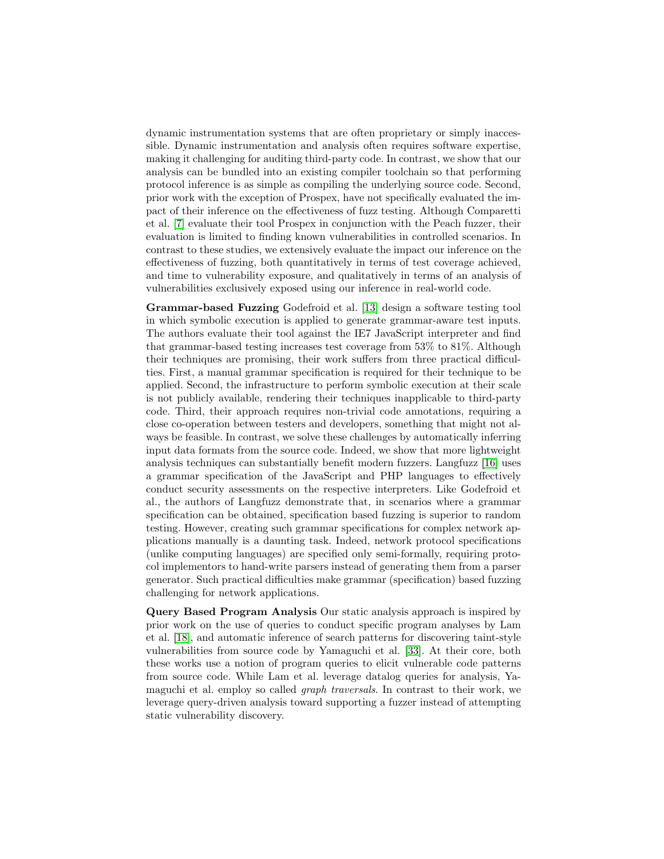dynamic instrumentation systems that are often proprietary or simply inaccessible. Dynamic instrumentation and analysis often requires software expertise, making it challenging for auditing third-party code. In contrast, we show that our analysis can be bundled into an existing compiler toolchain so that performing protocol inference is as simple as compiling the underlying source code. Second, prior work with the exception of Prospex, have not specifically evaluated the impact of their inference on the effectiveness of fuzz testing. Although Comparetti et al. [\[7\]](#page-20-2) evaluate their tool Prospex in conjunction with the Peach fuzzer, their evaluation is limited to finding known vulnerabilities in controlled scenarios. In contrast to these studies, we extensively evaluate the impact our inference on the effectiveness of fuzzing, both quantitatively in terms of test coverage achieved, and time to vulnerability exposure, and qualitatively in terms of an analysis of vulnerabilities exclusively exposed using our inference in real-world code.

Grammar-based Fuzzing Godefroid et al. [\[13\]](#page-20-0) design a software testing tool in which symbolic execution is applied to generate grammar-aware test inputs. The authors evaluate their tool against the IE7 JavaScript interpreter and find that grammar-based testing increases test coverage from 53% to 81%. Although their techniques are promising, their work suffers from three practical difficulties. First, a manual grammar specification is required for their technique to be applied. Second, the infrastructure to perform symbolic execution at their scale is not publicly available, rendering their techniques inapplicable to third-party code. Third, their approach requires non-trivial code annotations, requiring a close co-operation between testers and developers, something that might not always be feasible. In contrast, we solve these challenges by automatically inferring input data formats from the source code. Indeed, we show that more lightweight analysis techniques can substantially benefit modern fuzzers. Langfuzz [\[16\]](#page-20-1) uses a grammar specification of the JavaScript and PHP languages to effectively conduct security assessments on the respective interpreters. Like Godefroid et al., the authors of Langfuzz demonstrate that, in scenarios where a grammar specification can be obtained, specification based fuzzing is superior to random testing. However, creating such grammar specifications for complex network applications manually is a daunting task. Indeed, network protocol specifications (unlike computing languages) are specified only semi-formally, requiring protocol implementors to hand-write parsers instead of generating them from a parser generator. Such practical difficulties make grammar (specification) based fuzzing challenging for network applications.

Query Based Program Analysis Our static analysis approach is inspired by prior work on the use of queries to conduct specific program analyses by Lam et al. [\[18\]](#page-21-16), and automatic inference of search patterns for discovering taint-style vulnerabilities from source code by Yamaguchi et al. [\[33\]](#page-21-17). At their core, both these works use a notion of program queries to elicit vulnerable code patterns from source code. While Lam et al. leverage datalog queries for analysis, Yamaguchi et al. employ so called graph traversals. In contrast to their work, we leverage query-driven analysis toward supporting a fuzzer instead of attempting static vulnerability discovery.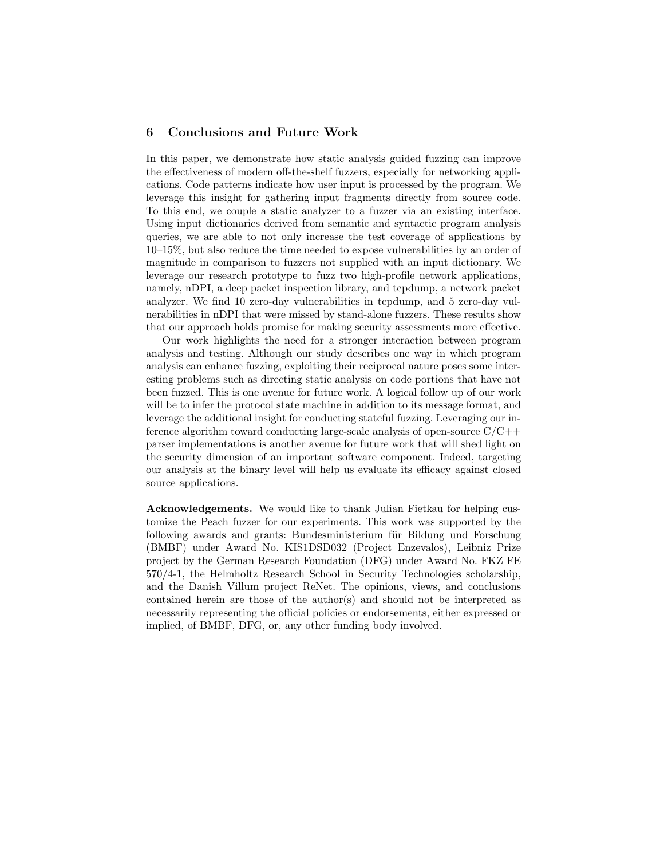# 6 Conclusions and Future Work

In this paper, we demonstrate how static analysis guided fuzzing can improve the effectiveness of modern off-the-shelf fuzzers, especially for networking applications. Code patterns indicate how user input is processed by the program. We leverage this insight for gathering input fragments directly from source code. To this end, we couple a static analyzer to a fuzzer via an existing interface. Using input dictionaries derived from semantic and syntactic program analysis queries, we are able to not only increase the test coverage of applications by 10–15%, but also reduce the time needed to expose vulnerabilities by an order of magnitude in comparison to fuzzers not supplied with an input dictionary. We leverage our research prototype to fuzz two high-profile network applications, namely, nDPI, a deep packet inspection library, and tcpdump, a network packet analyzer. We find 10 zero-day vulnerabilities in tcpdump, and 5 zero-day vulnerabilities in nDPI that were missed by stand-alone fuzzers. These results show that our approach holds promise for making security assessments more effective.

Our work highlights the need for a stronger interaction between program analysis and testing. Although our study describes one way in which program analysis can enhance fuzzing, exploiting their reciprocal nature poses some interesting problems such as directing static analysis on code portions that have not been fuzzed. This is one avenue for future work. A logical follow up of our work will be to infer the protocol state machine in addition to its message format, and leverage the additional insight for conducting stateful fuzzing. Leveraging our inference algorithm toward conducting large-scale analysis of open-source  $C/C++$ parser implementations is another avenue for future work that will shed light on the security dimension of an important software component. Indeed, targeting our analysis at the binary level will help us evaluate its efficacy against closed source applications.

Acknowledgements. We would like to thank Julian Fietkau for helping customize the Peach fuzzer for our experiments. This work was supported by the following awards and grants: Bundesministerium für Bildung und Forschung (BMBF) under Award No. KIS1DSD032 (Project Enzevalos), Leibniz Prize project by the German Research Foundation (DFG) under Award No. FKZ FE 570/4-1, the Helmholtz Research School in Security Technologies scholarship, and the Danish Villum project ReNet. The opinions, views, and conclusions contained herein are those of the author(s) and should not be interpreted as necessarily representing the official policies or endorsements, either expressed or implied, of BMBF, DFG, or, any other funding body involved.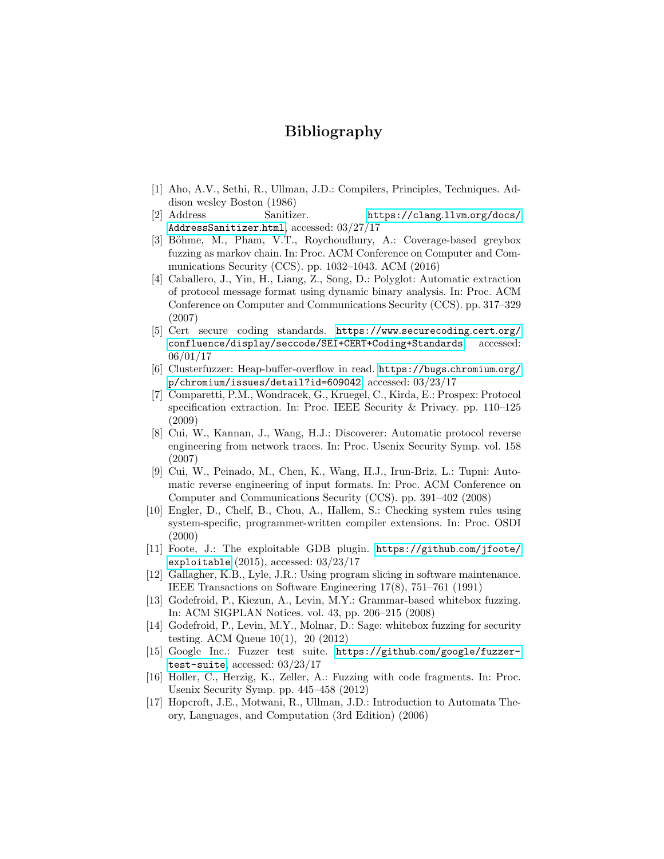# Bibliography

- <span id="page-20-5"></span>[1] Aho, A.V., Sethi, R., Ullman, J.D.: Compilers, Principles, Techniques. Addison wesley Boston (1986)
- <span id="page-20-12"></span>[2] Address Sanitizer. [https://clang](https://clang.llvm.org/docs/AddressSanitizer.html).llvm.org/docs/ [AddressSanitizer](https://clang.llvm.org/docs/AddressSanitizer.html).html, accessed: 03/27/17
- <span id="page-20-10"></span>[3] Böhme, M., Pham, V.T., Roychoudhury, A.: Coverage-based greybox fuzzing as markov chain. In: Proc. ACM Conference on Computer and Communications Security (CCS). pp. 1032–1043. ACM (2016)
- <span id="page-20-15"></span>[4] Caballero, J., Yin, H., Liang, Z., Song, D.: Polyglot: Automatic extraction of protocol message format using dynamic binary analysis. In: Proc. ACM Conference on Computer and Communications Security (CCS). pp. 317–329 (2007)
- <span id="page-20-13"></span>[5] Cert secure coding standards. https://www.[securecoding](https://www.securecoding.cert.org/confluence/display/seccode/SEI+CERT+Coding+Standards).cert.org/ [confluence/display/seccode/SEI+CERT+Coding+Standards](https://www.securecoding.cert.org/confluence/display/seccode/SEI+CERT+Coding+Standards), accessed: 06/01/17
- <span id="page-20-9"></span>[6] Clusterfuzzer: Heap-buffer-overflow in read. [https://bugs](https://bugs.chromium.org/p/chromium/issues/detail?id=609042).chromium.org/  $p/chromium/issues/detal?id=609042$ , accessed:  $03/23/17$
- <span id="page-20-2"></span>[7] Comparetti, P.M., Wondracek, G., Kruegel, C., Kirda, E.: Prospex: Protocol specification extraction. In: Proc. IEEE Security & Privacy. pp. 110–125 (2009)
- <span id="page-20-14"></span>[8] Cui, W., Kannan, J., Wang, H.J.: Discoverer: Automatic protocol reverse engineering from network traces. In: Proc. Usenix Security Symp. vol. 158 (2007)
- <span id="page-20-16"></span>[9] Cui, W., Peinado, M., Chen, K., Wang, H.J., Irun-Briz, L.: Tupni: Automatic reverse engineering of input formats. In: Proc. ACM Conference on Computer and Communications Security (CCS). pp. 391–402 (2008)
- <span id="page-20-4"></span>[10] Engler, D., Chelf, B., Chou, A., Hallem, S.: Checking system rules using system-specific, programmer-written compiler extensions. In: Proc. OSDI (2000)
- <span id="page-20-11"></span>[11] Foote, J.: The exploitable GDB plugin. [https://github](https://github.com/jfoote/exploitable).com/jfoote/ [exploitable](https://github.com/jfoote/exploitable)  $(2015)$ , accessed:  $03/23/17$
- <span id="page-20-8"></span>[12] Gallagher, K.B., Lyle, J.R.: Using program slicing in software maintenance. IEEE Transactions on Software Engineering 17(8), 751–761 (1991)
- <span id="page-20-0"></span>[13] Godefroid, P., Kiezun, A., Levin, M.Y.: Grammar-based whitebox fuzzing. In: ACM SIGPLAN Notices. vol. 43, pp. 206–215 (2008)
- <span id="page-20-6"></span>[14] Godefroid, P., Levin, M.Y., Molnar, D.: Sage: whitebox fuzzing for security testing. ACM Queue 10(1), 20 (2012)
- <span id="page-20-3"></span>[15] Google Inc.: Fuzzer test suite. https://github.[com/google/fuzzer](https://github.com/google/fuzzer-test-suite)[test-suite](https://github.com/google/fuzzer-test-suite), accessed: 03/23/17
- <span id="page-20-1"></span>[16] Holler, C., Herzig, K., Zeller, A.: Fuzzing with code fragments. In: Proc. Usenix Security Symp. pp. 445–458 (2012)
- <span id="page-20-7"></span>[17] Hopcroft, J.E., Motwani, R., Ullman, J.D.: Introduction to Automata Theory, Languages, and Computation (3rd Edition) (2006)